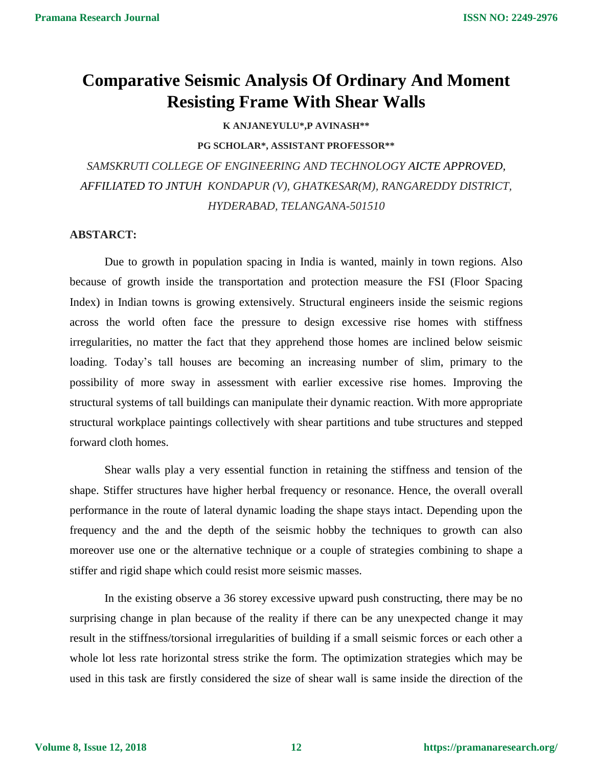# **Comparative Seismic Analysis Of Ordinary And Moment Resisting Frame With Shear Walls**

**K ANJANEYULU\*,P AVINASH\*\***

**PG SCHOLAR\*, ASSISTANT PROFESSOR\*\***

*SAMSKRUTI COLLEGE OF ENGINEERING AND TECHNOLOGY AICTE APPROVED, AFFILIATED TO JNTUH KONDAPUR (V), GHATKESAR(M), RANGAREDDY DISTRICT, HYDERABAD, TELANGANA-501510*

#### **ABSTARCT:**

Due to growth in population spacing in India is wanted, mainly in town regions. Also because of growth inside the transportation and protection measure the FSI (Floor Spacing Index) in Indian towns is growing extensively. Structural engineers inside the seismic regions across the world often face the pressure to design excessive rise homes with stiffness irregularities, no matter the fact that they apprehend those homes are inclined below seismic loading. Today's tall houses are becoming an increasing number of slim, primary to the possibility of more sway in assessment with earlier excessive rise homes. Improving the structural systems of tall buildings can manipulate their dynamic reaction. With more appropriate structural workplace paintings collectively with shear partitions and tube structures and stepped forward cloth homes.

Shear walls play a very essential function in retaining the stiffness and tension of the shape. Stiffer structures have higher herbal frequency or resonance. Hence, the overall overall performance in the route of lateral dynamic loading the shape stays intact. Depending upon the frequency and the and the depth of the seismic hobby the techniques to growth can also moreover use one or the alternative technique or a couple of strategies combining to shape a stiffer and rigid shape which could resist more seismic masses.

In the existing observe a 36 storey excessive upward push constructing, there may be no surprising change in plan because of the reality if there can be any unexpected change it may result in the stiffness/torsional irregularities of building if a small seismic forces or each other a whole lot less rate horizontal stress strike the form. The optimization strategies which may be used in this task are firstly considered the size of shear wall is same inside the direction of the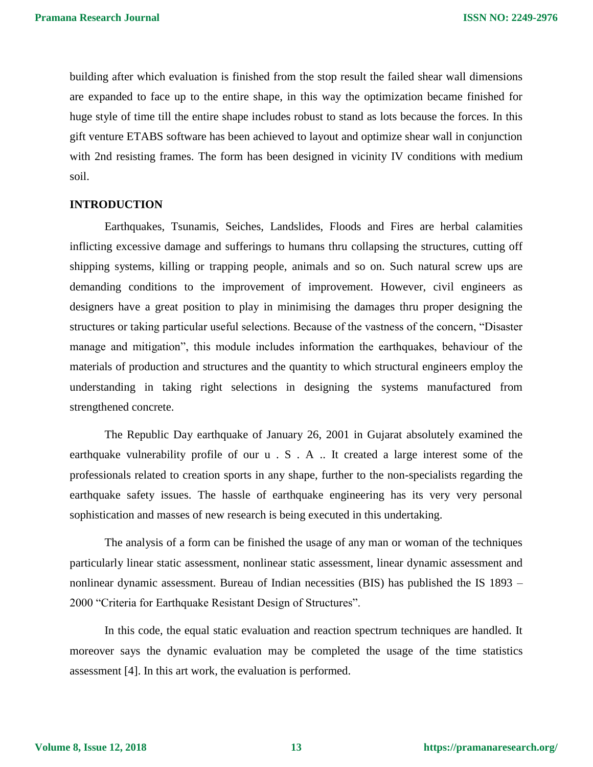building after which evaluation is finished from the stop result the failed shear wall dimensions are expanded to face up to the entire shape, in this way the optimization became finished for huge style of time till the entire shape includes robust to stand as lots because the forces. In this gift venture ETABS software has been achieved to layout and optimize shear wall in conjunction with 2nd resisting frames. The form has been designed in vicinity IV conditions with medium soil.

#### **INTRODUCTION**

Earthquakes, Tsunamis, Seiches, Landslides, Floods and Fires are herbal calamities inflicting excessive damage and sufferings to humans thru collapsing the structures, cutting off shipping systems, killing or trapping people, animals and so on. Such natural screw ups are demanding conditions to the improvement of improvement. However, civil engineers as designers have a great position to play in minimising the damages thru proper designing the structures or taking particular useful selections. Because of the vastness of the concern, "Disaster manage and mitigation", this module includes information the earthquakes, behaviour of the materials of production and structures and the quantity to which structural engineers employ the understanding in taking right selections in designing the systems manufactured from strengthened concrete.

The Republic Day earthquake of January 26, 2001 in Gujarat absolutely examined the earthquake vulnerability profile of our u . S . A .. It created a large interest some of the professionals related to creation sports in any shape, further to the non-specialists regarding the earthquake safety issues. The hassle of earthquake engineering has its very very personal sophistication and masses of new research is being executed in this undertaking.

The analysis of a form can be finished the usage of any man or woman of the techniques particularly linear static assessment, nonlinear static assessment, linear dynamic assessment and nonlinear dynamic assessment. Bureau of Indian necessities (BIS) has published the IS 1893 – 2000 "Criteria for Earthquake Resistant Design of Structures".

In this code, the equal static evaluation and reaction spectrum techniques are handled. It moreover says the dynamic evaluation may be completed the usage of the time statistics assessment [4]. In this art work, the evaluation is performed.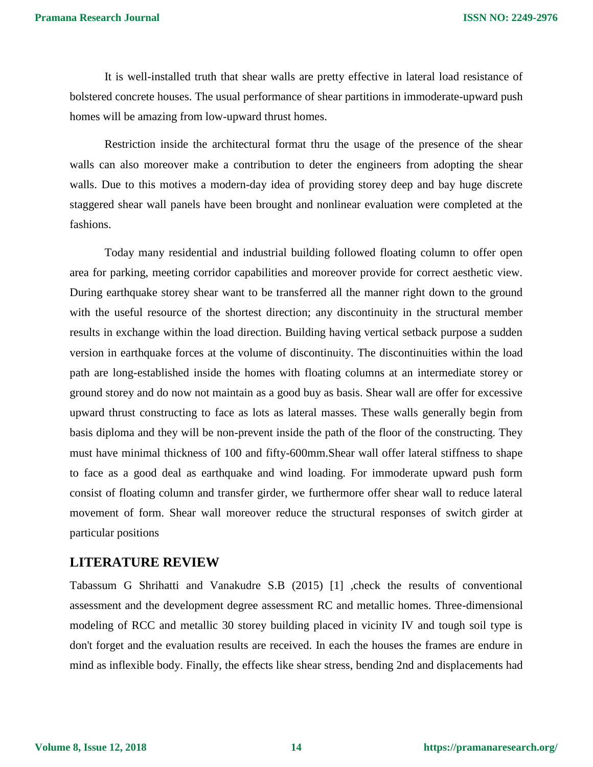It is well-installed truth that shear walls are pretty effective in lateral load resistance of bolstered concrete houses. The usual performance of shear partitions in immoderate-upward push homes will be amazing from low-upward thrust homes.

Restriction inside the architectural format thru the usage of the presence of the shear walls can also moreover make a contribution to deter the engineers from adopting the shear walls. Due to this motives a modern-day idea of providing storey deep and bay huge discrete staggered shear wall panels have been brought and nonlinear evaluation were completed at the fashions.

Today many residential and industrial building followed floating column to offer open area for parking, meeting corridor capabilities and moreover provide for correct aesthetic view. During earthquake storey shear want to be transferred all the manner right down to the ground with the useful resource of the shortest direction; any discontinuity in the structural member results in exchange within the load direction. Building having vertical setback purpose a sudden version in earthquake forces at the volume of discontinuity. The discontinuities within the load path are long-established inside the homes with floating columns at an intermediate storey or ground storey and do now not maintain as a good buy as basis. Shear wall are offer for excessive upward thrust constructing to face as lots as lateral masses. These walls generally begin from basis diploma and they will be non-prevent inside the path of the floor of the constructing. They must have minimal thickness of 100 and fifty-600mm.Shear wall offer lateral stiffness to shape to face as a good deal as earthquake and wind loading. For immoderate upward push form consist of floating column and transfer girder, we furthermore offer shear wall to reduce lateral movement of form. Shear wall moreover reduce the structural responses of switch girder at particular positions

### **LITERATURE REVIEW**

Tabassum G Shrihatti and Vanakudre S.B (2015) [1] ,check the results of conventional assessment and the development degree assessment RC and metallic homes. Three-dimensional modeling of RCC and metallic 30 storey building placed in vicinity IV and tough soil type is don't forget and the evaluation results are received. In each the houses the frames are endure in mind as inflexible body. Finally, the effects like shear stress, bending 2nd and displacements had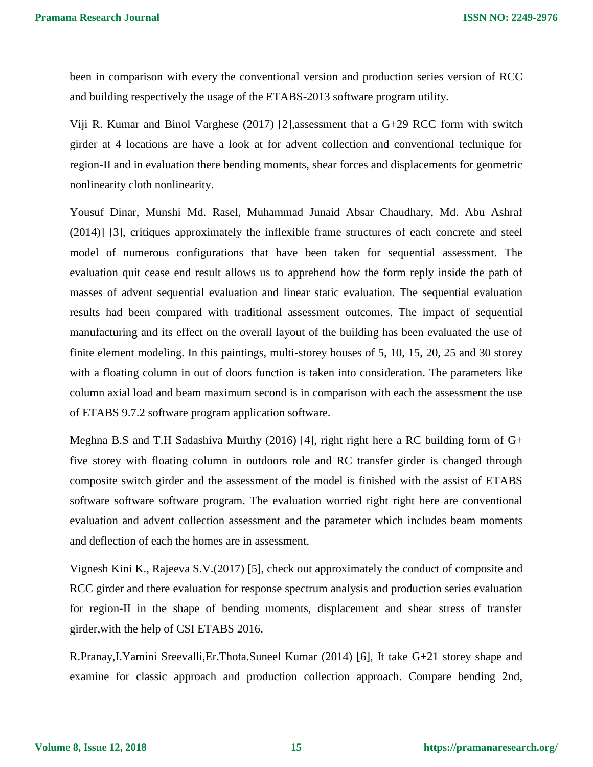been in comparison with every the conventional version and production series version of RCC and building respectively the usage of the ETABS-2013 software program utility.

Viji R. Kumar and Binol Varghese (2017) [2],assessment that a G+29 RCC form with switch girder at 4 locations are have a look at for advent collection and conventional technique for region-II and in evaluation there bending moments, shear forces and displacements for geometric nonlinearity cloth nonlinearity.

Yousuf Dinar, Munshi Md. Rasel, Muhammad Junaid Absar Chaudhary, Md. Abu Ashraf (2014)] [3], critiques approximately the inflexible frame structures of each concrete and steel model of numerous configurations that have been taken for sequential assessment. The evaluation quit cease end result allows us to apprehend how the form reply inside the path of masses of advent sequential evaluation and linear static evaluation. The sequential evaluation results had been compared with traditional assessment outcomes. The impact of sequential manufacturing and its effect on the overall layout of the building has been evaluated the use of finite element modeling. In this paintings, multi-storey houses of 5, 10, 15, 20, 25 and 30 storey with a floating column in out of doors function is taken into consideration. The parameters like column axial load and beam maximum second is in comparison with each the assessment the use of ETABS 9.7.2 software program application software.

Meghna B.S and T.H Sadashiva Murthy (2016) [4], right right here a RC building form of G+ five storey with floating column in outdoors role and RC transfer girder is changed through composite switch girder and the assessment of the model is finished with the assist of ETABS software software software program. The evaluation worried right right here are conventional evaluation and advent collection assessment and the parameter which includes beam moments and deflection of each the homes are in assessment.

Vignesh Kini K., Rajeeva S.V.(2017) [5], check out approximately the conduct of composite and RCC girder and there evaluation for response spectrum analysis and production series evaluation for region-II in the shape of bending moments, displacement and shear stress of transfer girder,with the help of CSI ETABS 2016.

R.Pranay,I.Yamini Sreevalli,Er.Thota.Suneel Kumar (2014) [6], It take G+21 storey shape and examine for classic approach and production collection approach. Compare bending 2nd,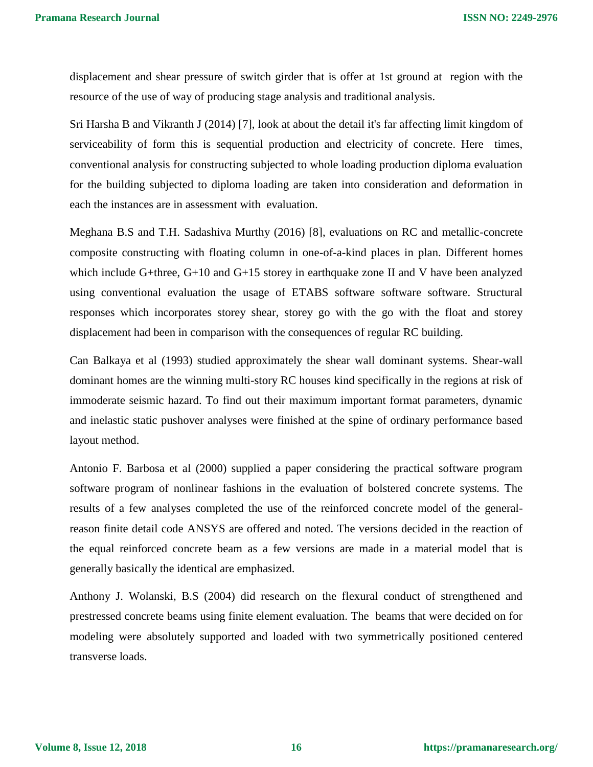displacement and shear pressure of switch girder that is offer at 1st ground at region with the resource of the use of way of producing stage analysis and traditional analysis.

Sri Harsha B and Vikranth J (2014) [7], look at about the detail it's far affecting limit kingdom of serviceability of form this is sequential production and electricity of concrete. Here times, conventional analysis for constructing subjected to whole loading production diploma evaluation for the building subjected to diploma loading are taken into consideration and deformation in each the instances are in assessment with evaluation.

Meghana B.S and T.H. Sadashiva Murthy (2016) [8], evaluations on RC and metallic-concrete composite constructing with floating column in one-of-a-kind places in plan. Different homes which include G+three, G+10 and G+15 storey in earthquake zone II and V have been analyzed using conventional evaluation the usage of ETABS software software software. Structural responses which incorporates storey shear, storey go with the go with the float and storey displacement had been in comparison with the consequences of regular RC building.

Can Balkaya et al (1993) studied approximately the shear wall dominant systems. Shear-wall dominant homes are the winning multi-story RC houses kind specifically in the regions at risk of immoderate seismic hazard. To find out their maximum important format parameters, dynamic and inelastic static pushover analyses were finished at the spine of ordinary performance based layout method.

Antonio F. Barbosa et al (2000) supplied a paper considering the practical software program software program of nonlinear fashions in the evaluation of bolstered concrete systems. The results of a few analyses completed the use of the reinforced concrete model of the generalreason finite detail code ANSYS are offered and noted. The versions decided in the reaction of the equal reinforced concrete beam as a few versions are made in a material model that is generally basically the identical are emphasized.

Anthony J. Wolanski, B.S (2004) did research on the flexural conduct of strengthened and prestressed concrete beams using finite element evaluation. The beams that were decided on for modeling were absolutely supported and loaded with two symmetrically positioned centered transverse loads.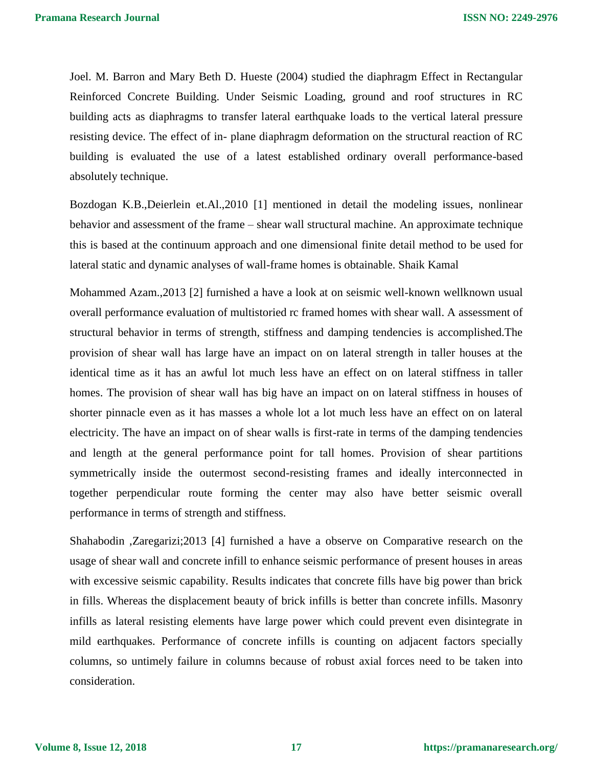Joel. M. Barron and Mary Beth D. Hueste (2004) studied the diaphragm Effect in Rectangular Reinforced Concrete Building. Under Seismic Loading, ground and roof structures in RC building acts as diaphragms to transfer lateral earthquake loads to the vertical lateral pressure resisting device. The effect of in- plane diaphragm deformation on the structural reaction of RC building is evaluated the use of a latest established ordinary overall performance-based absolutely technique.

Bozdogan K.B.,Deierlein et.Al.,2010 [1] mentioned in detail the modeling issues, nonlinear behavior and assessment of the frame – shear wall structural machine. An approximate technique this is based at the continuum approach and one dimensional finite detail method to be used for lateral static and dynamic analyses of wall-frame homes is obtainable. Shaik Kamal

Mohammed Azam.,2013 [2] furnished a have a look at on seismic well-known wellknown usual overall performance evaluation of multistoried rc framed homes with shear wall. A assessment of structural behavior in terms of strength, stiffness and damping tendencies is accomplished.The provision of shear wall has large have an impact on on lateral strength in taller houses at the identical time as it has an awful lot much less have an effect on on lateral stiffness in taller homes. The provision of shear wall has big have an impact on on lateral stiffness in houses of shorter pinnacle even as it has masses a whole lot a lot much less have an effect on on lateral electricity. The have an impact on of shear walls is first-rate in terms of the damping tendencies and length at the general performance point for tall homes. Provision of shear partitions symmetrically inside the outermost second-resisting frames and ideally interconnected in together perpendicular route forming the center may also have better seismic overall performance in terms of strength and stiffness.

Shahabodin ,Zaregarizi;2013 [4] furnished a have a observe on Comparative research on the usage of shear wall and concrete infill to enhance seismic performance of present houses in areas with excessive seismic capability. Results indicates that concrete fills have big power than brick in fills. Whereas the displacement beauty of brick infills is better than concrete infills. Masonry infills as lateral resisting elements have large power which could prevent even disintegrate in mild earthquakes. Performance of concrete infills is counting on adjacent factors specially columns, so untimely failure in columns because of robust axial forces need to be taken into consideration.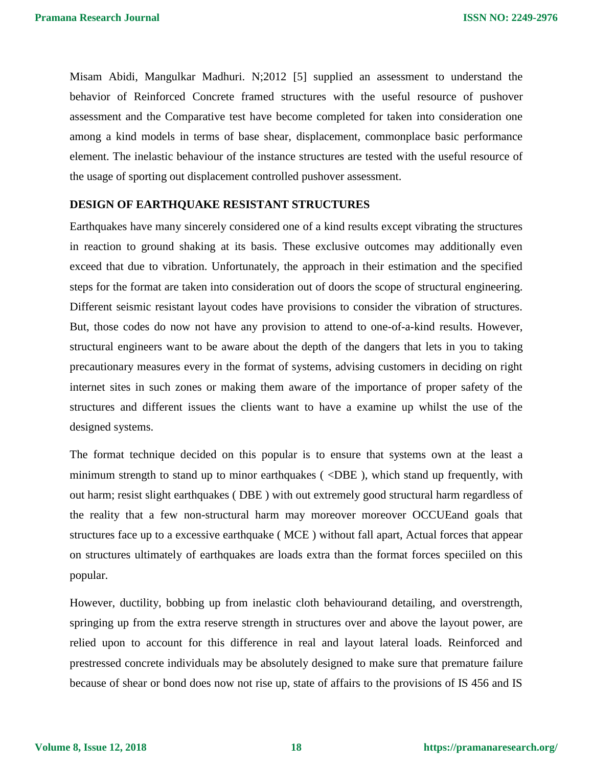Misam Abidi, Mangulkar Madhuri. N;2012 [5] supplied an assessment to understand the behavior of Reinforced Concrete framed structures with the useful resource of pushover assessment and the Comparative test have become completed for taken into consideration one among a kind models in terms of base shear, displacement, commonplace basic performance element. The inelastic behaviour of the instance structures are tested with the useful resource of the usage of sporting out displacement controlled pushover assessment.

#### **DESIGN OF EARTHQUAKE RESISTANT STRUCTURES**

Earthquakes have many sincerely considered one of a kind results except vibrating the structures in reaction to ground shaking at its basis. These exclusive outcomes may additionally even exceed that due to vibration. Unfortunately, the approach in their estimation and the specified steps for the format are taken into consideration out of doors the scope of structural engineering. Different seismic resistant layout codes have provisions to consider the vibration of structures. But, those codes do now not have any provision to attend to one-of-a-kind results. However, structural engineers want to be aware about the depth of the dangers that lets in you to taking precautionary measures every in the format of systems, advising customers in deciding on right internet sites in such zones or making them aware of the importance of proper safety of the structures and different issues the clients want to have a examine up whilst the use of the designed systems.

The format technique decided on this popular is to ensure that systems own at the least a minimum strength to stand up to minor earthquakes ( $\langle$ DBE), which stand up frequently, with out harm; resist slight earthquakes ( DBE ) with out extremely good structural harm regardless of the reality that a few non-structural harm may moreover moreover OCCUEand goals that structures face up to a excessive earthquake ( MCE ) without fall apart, Actual forces that appear on structures ultimately of earthquakes are loads extra than the format forces speciiled on this popular.

However, ductility, bobbing up from inelastic cloth behaviourand detailing, and overstrength, springing up from the extra reserve strength in structures over and above the layout power, are relied upon to account for this difference in real and layout lateral loads. Reinforced and prestressed concrete individuals may be absolutely designed to make sure that premature failure because of shear or bond does now not rise up, state of affairs to the provisions of IS 456 and IS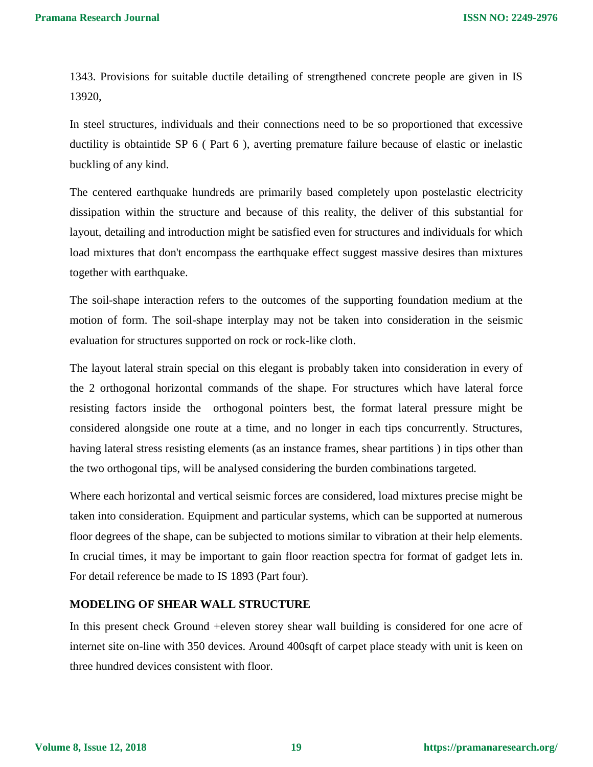1343. Provisions for suitable ductile detailing of strengthened concrete people are given in IS 13920,

In steel structures, individuals and their connections need to be so proportioned that excessive ductility is obtaintide SP 6 ( Part 6 ), averting premature failure because of elastic or inelastic buckling of any kind.

The centered earthquake hundreds are primarily based completely upon postelastic electricity dissipation within the structure and because of this reality, the deliver of this substantial for layout, detailing and introduction might be satisfied even for structures and individuals for which load mixtures that don't encompass the earthquake effect suggest massive desires than mixtures together with earthquake.

The soil-shape interaction refers to the outcomes of the supporting foundation medium at the motion of form. The soil-shape interplay may not be taken into consideration in the seismic evaluation for structures supported on rock or rock-like cloth.

The layout lateral strain special on this elegant is probably taken into consideration in every of the 2 orthogonal horizontal commands of the shape. For structures which have lateral force resisting factors inside the orthogonal pointers best, the format lateral pressure might be considered alongside one route at a time, and no longer in each tips concurrently. Structures, having lateral stress resisting elements (as an instance frames, shear partitions ) in tips other than the two orthogonal tips, will be analysed considering the burden combinations targeted.

Where each horizontal and vertical seismic forces are considered, load mixtures precise might be taken into consideration. Equipment and particular systems, which can be supported at numerous floor degrees of the shape, can be subjected to motions similar to vibration at their help elements. In crucial times, it may be important to gain floor reaction spectra for format of gadget lets in. For detail reference be made to IS 1893 (Part four).

#### **MODELING OF SHEAR WALL STRUCTURE**

In this present check Ground +eleven storey shear wall building is considered for one acre of internet site on-line with 350 devices. Around 400sqft of carpet place steady with unit is keen on three hundred devices consistent with floor.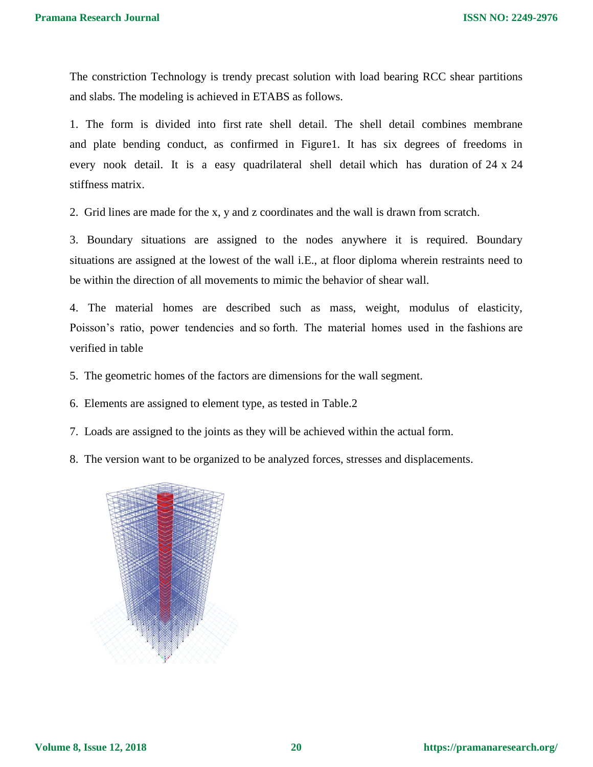The constriction Technology is trendy precast solution with load bearing RCC shear partitions and slabs. The modeling is achieved in ETABS as follows.

1. The form is divided into first rate shell detail. The shell detail combines membrane and plate bending conduct, as confirmed in Figure1. It has six degrees of freedoms in every nook detail. It is a easy quadrilateral shell detail which has duration of 24 x 24 stiffness matrix.

2. Grid lines are made for the x, y and z coordinates and the wall is drawn from scratch.

3. Boundary situations are assigned to the nodes anywhere it is required. Boundary situations are assigned at the lowest of the wall i.E., at floor diploma wherein restraints need to be within the direction of all movements to mimic the behavior of shear wall.

4. The material homes are described such as mass, weight, modulus of elasticity, Poisson's ratio, power tendencies and so forth. The material homes used in the fashions are verified in table

5. The geometric homes of the factors are dimensions for the wall segment.

6. Elements are assigned to element type, as tested in Table.2

7. Loads are assigned to the joints as they will be achieved within the actual form.

8. The version want to be organized to be analyzed forces, stresses and displacements.

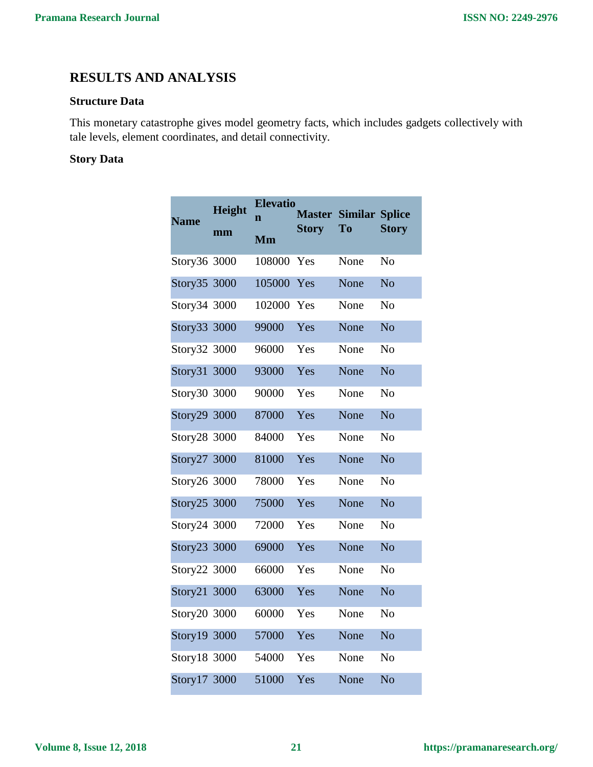## **RESULTS AND ANALYSIS**

#### **Structure Data**

This monetary catastrophe gives model geometry facts, which includes gadgets collectively with tale levels, element coordinates, and detail connectivity.

### **Story Data**

| <b>Name</b>  | Height<br>mm | <b>Elevatio</b><br>$\mathbf{n}$ | <b>Master</b><br><b>Story</b> | <b>Similar Splice</b><br>To | <b>Story</b>   |
|--------------|--------------|---------------------------------|-------------------------------|-----------------------------|----------------|
|              |              | Mm                              |                               |                             |                |
| Story36 3000 |              | 108000                          | Yes                           | None                        | N <sub>o</sub> |
| Story35 3000 |              | 105000                          | Yes                           | None                        | N <sub>o</sub> |
| Story34 3000 |              | 102000                          | Yes                           | None                        | N <sub>o</sub> |
| Story33 3000 |              | 99000                           | Yes                           | None                        | N <sub>o</sub> |
| Story32 3000 |              | 96000                           | Yes                           | None                        | N <sub>o</sub> |
| Story31 3000 |              | 93000                           | Yes                           | None                        | N <sub>o</sub> |
| Story30 3000 |              | 90000                           | Yes                           | None                        | N <sub>o</sub> |
| Story29 3000 |              | 87000                           | Yes                           | None                        | N <sub>o</sub> |
| Story28 3000 |              | 84000                           | Yes                           | None                        | N <sub>o</sub> |
| Story27 3000 |              | 81000                           | Yes                           | None                        | N <sub>o</sub> |
| Story26 3000 |              | 78000                           | Yes                           | None                        | N <sub>o</sub> |
| Story25 3000 |              | 75000                           | Yes                           | None                        | N <sub>o</sub> |
| Story24 3000 |              | 72000                           | Yes                           | None                        | N <sub>0</sub> |
| Story23 3000 |              | 69000                           | Yes                           | None                        | N <sub>o</sub> |
| Story22 3000 |              | 66000                           | Yes                           | None                        | N <sub>o</sub> |
| Story21 3000 |              | 63000                           | Yes                           | None                        | N <sub>o</sub> |
| Story20 3000 |              | 60000                           | Yes                           | None                        | N <sub>o</sub> |
| Story19 3000 |              | 57000                           | Yes                           | None                        | N <sub>o</sub> |
| Story18 3000 |              | 54000                           | Yes                           | None                        | N <sub>o</sub> |
| Story17 3000 |              | 51000                           | Yes                           | None                        | N <sub>o</sub> |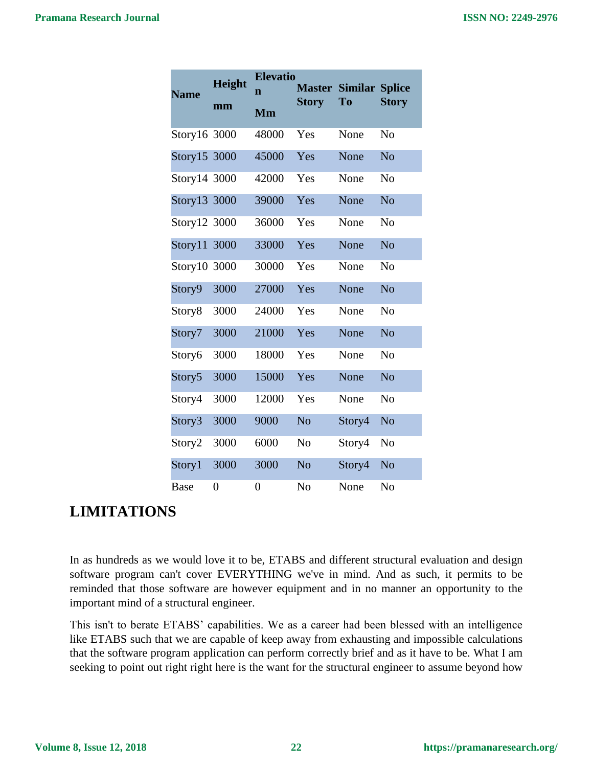| <b>Name</b>        | <b>Height</b>    | <b>Elevatio</b><br>$\overline{\mathbf{n}}$ | <b>Master</b>  | <b>Similar Splice</b><br>To | <b>Story</b>   |
|--------------------|------------------|--------------------------------------------|----------------|-----------------------------|----------------|
|                    | mm               | Mm                                         | <b>Story</b>   |                             |                |
| Story16 3000       |                  | 48000                                      | Yes            | None                        | N <sub>0</sub> |
| Story15 3000       |                  | 45000                                      | Yes            | None                        | N <sub>o</sub> |
| Story14 3000       |                  | 42000                                      | Yes            | None                        | N <sub>o</sub> |
| Story13 3000       |                  | 39000                                      | Yes            | None                        | N <sub>o</sub> |
| Story12 3000       |                  | 36000                                      | Yes            | None                        | N <sub>o</sub> |
| Story11            | 3000             | 33000                                      | Yes            | None                        | N <sub>o</sub> |
| Story10 3000       |                  | 30000                                      | Yes            | None                        | N <sub>o</sub> |
| Story9             | 3000             | 27000                                      | Yes            | None                        | N <sub>o</sub> |
| Story <sub>8</sub> | 3000             | 24000                                      | Yes            | None                        | N <sub>o</sub> |
| Story7             | 3000             | 21000                                      | Yes            | None                        | N <sub>o</sub> |
| Story6             | 3000             | 18000                                      | Yes            | None                        | N <sub>o</sub> |
| Story <sub>5</sub> | 3000             | 15000                                      | Yes            | None                        | N <sub>o</sub> |
| Story4             | 3000             | 12000                                      | Yes            | None                        | N <sub>o</sub> |
| Story3             | 3000             | 9000                                       | N <sub>o</sub> | Story4                      | N <sub>o</sub> |
| Story2             | 3000             | 6000                                       | N <sub>o</sub> | Story4                      | N <sub>o</sub> |
| Story1             | 3000             | 3000                                       | N <sub>o</sub> | Story4                      | N <sub>o</sub> |
| <b>Base</b>        | $\boldsymbol{0}$ | 0                                          | N <sub>o</sub> | None                        | No             |

# **LIMITATIONS**

In as hundreds as we would love it to be, ETABS and different structural evaluation and design software program can't cover EVERYTHING we've in mind. And as such, it permits to be reminded that those software are however equipment and in no manner an opportunity to the important mind of a structural engineer.

This isn't to berate ETABS' capabilities. We as a career had been blessed with an intelligence like ETABS such that we are capable of keep away from exhausting and impossible calculations that the software program application can perform correctly brief and as it have to be. What I am seeking to point out right right here is the want for the structural engineer to assume beyond how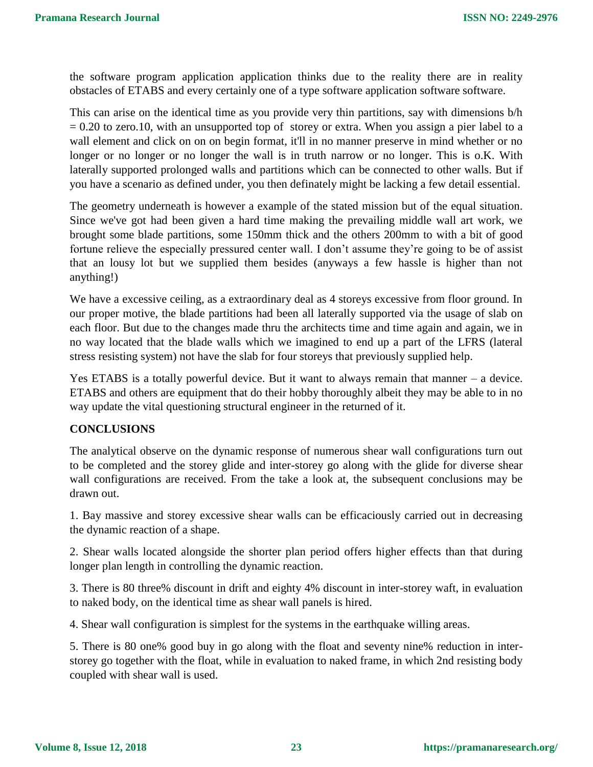the software program application application thinks due to the reality there are in reality obstacles of ETABS and every certainly one of a type software application software software.

This can arise on the identical time as you provide very thin partitions, say with dimensions b/h  $= 0.20$  to zero.10, with an unsupported top of storey or extra. When you assign a pier label to a wall element and click on on on begin format, it'll in no manner preserve in mind whether or no longer or no longer or no longer the wall is in truth narrow or no longer. This is o.K. With laterally supported prolonged walls and partitions which can be connected to other walls. But if you have a scenario as defined under, you then definately might be lacking a few detail essential.

The geometry underneath is however a example of the stated mission but of the equal situation. Since we've got had been given a hard time making the prevailing middle wall art work, we brought some blade partitions, some 150mm thick and the others 200mm to with a bit of good fortune relieve the especially pressured center wall. I don't assume they're going to be of assist that an lousy lot but we supplied them besides (anyways a few hassle is higher than not anything!)

We have a excessive ceiling, as a extraordinary deal as 4 storeys excessive from floor ground. In our proper motive, the blade partitions had been all laterally supported via the usage of slab on each floor. But due to the changes made thru the architects time and time again and again, we in no way located that the blade walls which we imagined to end up a part of the LFRS (lateral stress resisting system) not have the slab for four storeys that previously supplied help.

Yes ETABS is a totally powerful device. But it want to always remain that manner – a device. ETABS and others are equipment that do their hobby thoroughly albeit they may be able to in no way update the vital questioning structural engineer in the returned of it.

#### **CONCLUSIONS**

The analytical observe on the dynamic response of numerous shear wall configurations turn out to be completed and the storey glide and inter-storey go along with the glide for diverse shear wall configurations are received. From the take a look at, the subsequent conclusions may be drawn out.

1. Bay massive and storey excessive shear walls can be efficaciously carried out in decreasing the dynamic reaction of a shape.

2. Shear walls located alongside the shorter plan period offers higher effects than that during longer plan length in controlling the dynamic reaction.

3. There is 80 three% discount in drift and eighty 4% discount in inter-storey waft, in evaluation to naked body, on the identical time as shear wall panels is hired.

4. Shear wall configuration is simplest for the systems in the earthquake willing areas.

5. There is 80 one% good buy in go along with the float and seventy nine% reduction in interstorey go together with the float, while in evaluation to naked frame, in which 2nd resisting body coupled with shear wall is used.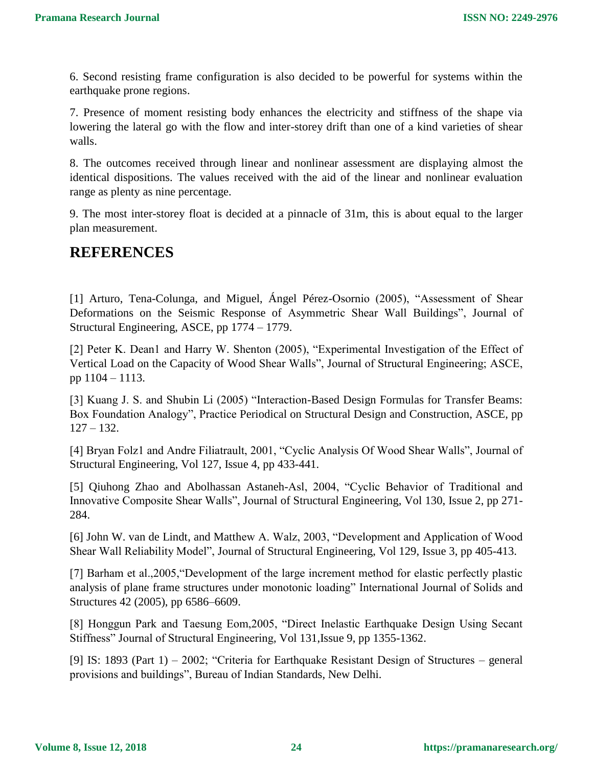6. Second resisting frame configuration is also decided to be powerful for systems within the earthquake prone regions.

7. Presence of moment resisting body enhances the electricity and stiffness of the shape via lowering the lateral go with the flow and inter-storey drift than one of a kind varieties of shear walls.

8. The outcomes received through linear and nonlinear assessment are displaying almost the identical dispositions. The values received with the aid of the linear and nonlinear evaluation range as plenty as nine percentage.

9. The most inter-storey float is decided at a pinnacle of 31m, this is about equal to the larger plan measurement.

### **REFERENCES**

[1] Arturo, Tena-Colunga, and Miguel, Ángel Pérez-Osornio (2005), "Assessment of Shear Deformations on the Seismic Response of Asymmetric Shear Wall Buildings", Journal of Structural Engineering, ASCE, pp 1774 – 1779.

[2] Peter K. Dean1 and Harry W. Shenton (2005), "Experimental Investigation of the Effect of Vertical Load on the Capacity of Wood Shear Walls", Journal of Structural Engineering; ASCE, pp 1104 – 1113.

[3] Kuang J. S. and Shubin Li (2005) "Interaction-Based Design Formulas for Transfer Beams: Box Foundation Analogy", Practice Periodical on Structural Design and Construction, ASCE, pp  $127 - 132.$ 

[4] Bryan Folz1 and Andre Filiatrault, 2001, "Cyclic Analysis Of Wood Shear Walls", Journal of Structural Engineering, Vol 127, Issue 4, pp 433-441.

[5] Qiuhong Zhao and Abolhassan Astaneh-Asl, 2004, "Cyclic Behavior of Traditional and Innovative Composite Shear Walls", Journal of Structural Engineering, Vol 130, Issue 2, pp 271- 284.

[6] John W. van de Lindt, and Matthew A. Walz, 2003, "Development and Application of Wood Shear Wall Reliability Model", Journal of Structural Engineering, Vol 129, Issue 3, pp 405-413.

[7] Barham et al.,2005,"Development of the large increment method for elastic perfectly plastic analysis of plane frame structures under monotonic loading" International Journal of Solids and Structures 42 (2005), pp 6586–6609.

[8] Honggun Park and Taesung Eom,2005, "Direct Inelastic Earthquake Design Using Secant Stiffness" Journal of Structural Engineering, Vol 131,Issue 9, pp 1355-1362.

[9] IS: 1893 (Part 1) – 2002; "Criteria for Earthquake Resistant Design of Structures – general provisions and buildings", Bureau of Indian Standards, New Delhi.